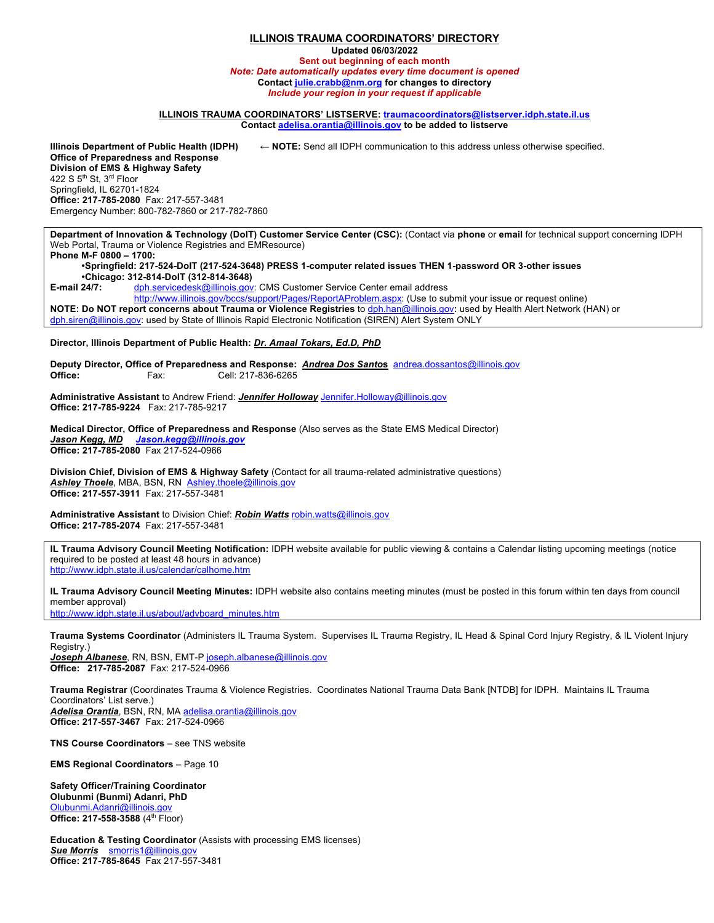## **ILLINOIS TRAUMA COORDINATORS' DIRECTORY**

**Updated 06/03/2022**

**Sent out beginning of each month** *Note: Date automatically updates every time document is opened* **Contact julie.crabb@nm.org for changes to directory** *Include your region in your request if applicable*

## **ILLINOIS TRAUMA COORDINATORS' LISTSERVE: traumacoordinators@listserver.idph.state.il.us Contact adelisa.orantia@illinois.gov to be added to listserve**

**Illinois Department of Public Health (IDPH) ← NOTE:** Send all IDPH communication to this address unless otherwise specified. **Office of Preparedness and Response Division of EMS & Highway Safety**  422 S 5<sup>th</sup> St, 3<sup>rd</sup> Floor Springfield, IL 62701-1824 **Office: 217-785-2080** Fax: 217-557-3481 Emergency Number: 800-782-7860 or 217-782-7860

**Department of Innovation & Technology (DoIT) Customer Service Center (CSC):** (Contact via **phone** or **email** for technical support concerning IDPH Web Portal, Trauma or Violence Registries and EMResource) **Phone M-F 0800 – 1700:**

**•Springfield: 217-524-DoIT (217-524-3648) PRESS 1-computer related issues THEN 1-password OR 3-other issues •Chicago: 312-814-DoIT (312-814-3648)** E-mail 24/7: dph.servicedesk@illinois.gov: CMS Customer Service Center email address

http://www.illinois.gov/bccs/support/Pages/ReportAProblem.aspx: (Use to submit your issue or request online) **NOTE: Do NOT report concerns about Trauma or Violence Registries** to dph.han@illinois.gov**:** used by Health Alert Network (HAN) or dph.siren@illinois.gov: used by State of Illinois Rapid Electronic Notification (SIREN) Alert System ONLY

**Director, Illinois Department of Public Health:** *Dr. Amaal Tokars, Ed.D, PhD*

**Deputy Director, Office of Preparedness and Response:** *Andrea Dos Santo***s** andrea.dossantos@illinois.gov **Office: Fax:** Cell: 217-836-6265

**Administrative Assistant** to Andrew Friend: *Jennifer Holloway* Jennifer.Holloway@illinois.gov **Office: 217-785-9224** Fax: 217-785-9217

**Medical Director, Office of Preparedness and Response** (Also serves as the State EMS Medical Director) *Jason Kegg, MD Jason.kegg@illinois.gov* **Office: 217-785-2080** Fax 217-524-0966

**Division Chief, Division of EMS & Highway Safety** (Contact for all trauma-related administrative questions) Ashley Thoele, MBA, BSN, RN Ashley.thoele@illino **Office: 217-557-3911** Fax: 217-557-3481

**Administrative Assistant** to Division Chief: *Robin Watts* robin.watts@illinois.gov **Office: 217-785-2074** Fax: 217-557-3481

**IL Trauma Advisory Council Meeting Notification:** IDPH website available for public viewing & contains a Calendar listing upcoming meetings (notice required to be posted at least 48 hours in advance) http://www.idph.state.il.us/calendar/calhome.htm

**IL Trauma Advisory Council Meeting Minutes:** IDPH website also contains meeting minutes (must be posted in this forum within ten days from council member approval)

http://www.idph.state.il.us/about/advboard\_minutes.htm

**Trauma Systems Coordinator** (Administers IL Trauma System. Supervises IL Trauma Registry, IL Head & Spinal Cord Injury Registry, & IL Violent Injury Registry.)

*Joseph Albanese*, RN, BSN, EMT-P joseph.albanese@illinois.gov **Office: 217-785-2087** Fax: 217-524-0966

**Trauma Registrar** (Coordinates Trauma & Violence Registries. Coordinates National Trauma Data Bank [NTDB] for IDPH. Maintains IL Trauma Coordinators' List serve.) *Adelisa Orantia*, BSN, RN, MA adelisa.orantia@illinois.gov

**Office: 217-557-3467** Fax: 217-524-0966

**TNS Course Coordinators** – see TNS website

**EMS Regional Coordinators** – Page 10

**Safety Officer/Training Coordinator Olubunmi (Bunmi) Adanri, PhD** Olubunmi.Adanri@illinois.gov **Office: 217-558-3588** (4th Floor)

**Education & Testing Coordinator** (Assists with processing EMS licenses) **Sue Morris** smorris1@illinois.gov **Office: 217-785-8645** Fax 217-557-3481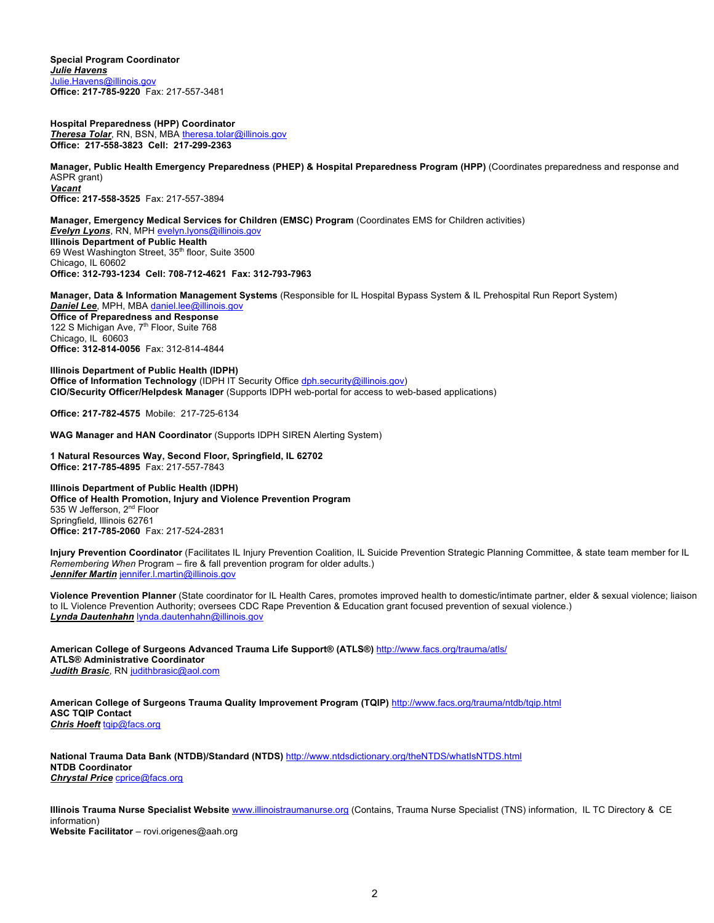**Special Program Coordinator** *Julie Havens*  Julie.Havens@illinois.gov **Office: 217-785-9220** Fax: 217-557-3481

**Hospital Preparedness (HPP) Coordinator** *Theresa Tolar*, RN, BSN, MBA theresa.tolar@illinois.gov **Office: 217-558-3823 Cell: 217-299-2363**

**Manager, Public Health Emergency Preparedness (PHEP) & Hospital Preparedness Program (HPP)** (Coordinates preparedness and response and ASPR grant) *Vacant* **Office: 217-558-3525** Fax: 217-557-3894

**Manager, Emergency Medical Services for Children (EMSC) Program** (Coordinates EMS for Children activities) *Evelyn Lyons*, RN, MPH evelyn.lyons@illinois.gov **Illinois Department of Public Health** 69 West Washington Street, 35<sup>th</sup> floor, Suite 3500 Chicago, IL 60602 **Office: 312-793-1234 Cell: 708-712-4621 Fax: 312-793-7963**

**Manager, Data & Information Management Systems** (Responsible for IL Hospital Bypass System & IL Prehospital Run Report System) **Daniel Lee**, MPH, MBA daniel.lee@illinois **Office of Preparedness and Response** 122 S Michigan Ave, 7<sup>th</sup> Floor, Suite 768 Chicago, IL 60603 **Office: 312-814-0056** Fax: 312-814-4844

**Illinois Department of Public Health (IDPH) Office of Information Technology** (IDPH IT Security Office dph.security@illinois.gov) **CIO/Security Officer/Helpdesk Manager** (Supports IDPH web-portal for access to web-based applications)

**Office: 217-782-4575** Mobile: 217-725-6134

**WAG Manager and HAN Coordinator** (Supports IDPH SIREN Alerting System)

**1 Natural Resources Way, Second Floor, Springfield, IL 62702 Office: 217-785-4895** Fax: 217-557-7843

**Illinois Department of Public Health (IDPH) Office of Health Promotion, Injury and Violence Prevention Program** 535 W Jefferson, 2<sup>nd</sup> Floor Springfield, Illinois 62761 **Office: 217-785-2060** Fax: 217-524-2831

**Injury Prevention Coordinator** (Facilitates IL Injury Prevention Coalition, IL Suicide Prevention Strategic Planning Committee, & state team member for IL *Remembering When* Program – fire & fall prevention program for older adults.) *Jennifer Martin* jennifer.l.martin@illinois.gov

**Violence Prevention Planner** (State coordinator for IL Health Cares, promotes improved health to domestic/intimate partner, elder & sexual violence; liaison to IL Violence Prevention Authority; oversees CDC Rape Prevention & Education grant focused prevention of sexual violence.) *Lynda Dautenhahn* lynda.dautenhahn@illinois.gov

**American College of Surgeons Advanced Trauma Life Support® (ATLS®)** http://www.facs.org/trauma/atls/ **ATLS® Administrative Coordinator** *Judith Brasic*, RN judithbrasic@aol.com

**American College of Surgeons Trauma Quality Improvement Program (TQIP)** http://www.facs.org/trauma/ntdb/tqip.html **ASC TQIP Contact** *Chris Hoeft* tqip@facs.org

**National Trauma Data Bank (NTDB)/Standard (NTDS)** http://www.ntdsdictionary.org/theNTDS/whatIsNTDS.html **NTDB Coordinator** *Chrystal Price* cprice@facs.org

**Illinois Trauma Nurse Specialist Website** www.illinoistraumanurse.org (Contains, Trauma Nurse Specialist (TNS) information, IL TC Directory & CE information) **Website Facilitator** – rovi.origenes@aah.org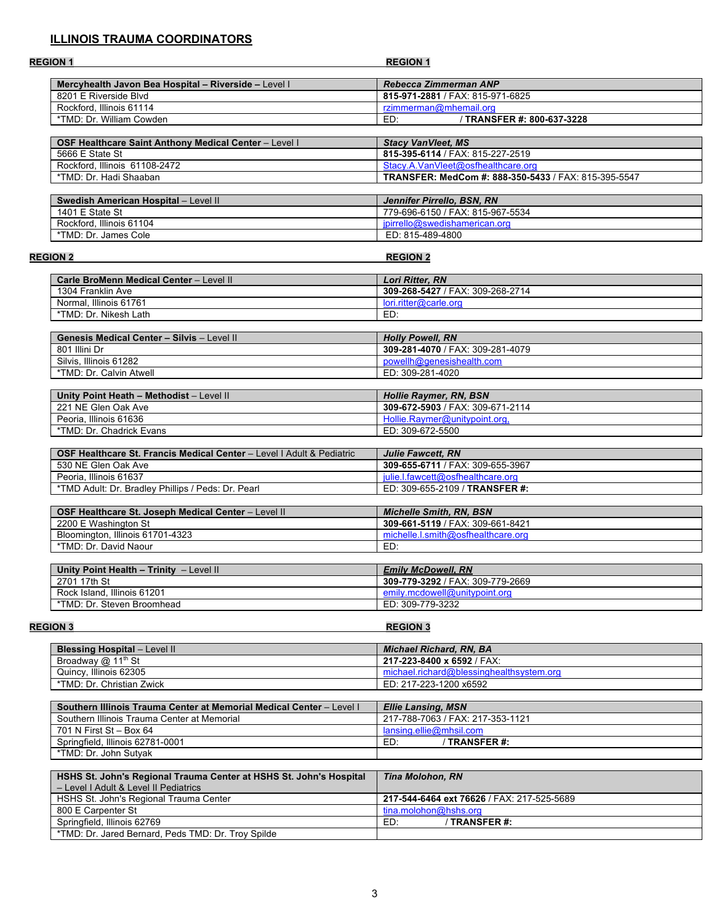## **ILLINOIS TRAUMA COORDINATORS**

| <b>REGION 1</b>                                                       | <b>REGION 1</b>                                      |
|-----------------------------------------------------------------------|------------------------------------------------------|
| Mercyhealth Javon Bea Hospital - Riverside - Level I                  | Rebecca Zimmerman ANP                                |
| 8201 E Riverside Blvd                                                 | 815-971-2881 / FAX: 815-971-6825                     |
| Rockford, Illinois 61114                                              | rzimmerman@mhemail.org                               |
| *TMD: Dr. William Cowden                                              | / TRANSFER #: 800-637-3228<br>ED:                    |
|                                                                       |                                                      |
| OSF Healthcare Saint Anthony Medical Center - Level I                 | <b>Stacy VanVleet, MS</b>                            |
| 5666 E State St                                                       | 815-395-6114 / FAX: 815-227-2519                     |
| Rockford, Illinois 61108-2472                                         | Stacy.A.VanVleet@osfhealthcare.org                   |
| *TMD: Dr. Hadi Shaaban                                                | TRANSFER: MedCom #: 888-350-5433 / FAX: 815-395-5547 |
| Swedish American Hospital - Level II                                  | Jennifer Pirrello, BSN, RN                           |
| 1401 E State St                                                       | 779-696-6150 / FAX: 815-967-5534                     |
| Rockford, Illinois 61104                                              | ipirrello@swedishamerican.org                        |
| *TMD: Dr. James Cole                                                  | ED: 815-489-4800                                     |
|                                                                       |                                                      |
| <b>REGION 2</b>                                                       | <b>REGION 2</b>                                      |
| Carle BroMenn Medical Center - Level II                               | Lori Ritter, RN                                      |
| 1304 Franklin Ave                                                     | 309-268-5427 / FAX: 309-268-2714                     |
| Normal, Illinois 61761                                                | lori.ritter@carle.org                                |
| *TMD: Dr. Nikesh Lath                                                 | ED:                                                  |
|                                                                       |                                                      |
| <b>Genesis Medical Center - Silvis - Level II</b>                     | <b>Holly Powell, RN</b>                              |
| 801 Illini Dr                                                         | 309-281-4070 / FAX: 309-281-4079                     |
| Silvis, Illinois 61282                                                | powellh@genesishealth.com                            |
| *TMD: Dr. Calvin Atwell                                               | ED: 309-281-4020                                     |
|                                                                       |                                                      |
| Unity Point Heath - Methodist - Level II                              | <b>Hollie Raymer, RN, BSN</b>                        |
| 221 NE Glen Oak Ave                                                   | 309-672-5903 / FAX: 309-671-2114                     |
| Peoria, Illinois 61636                                                | Hollie.Raymer@unitypoint.org,                        |
| *TMD: Dr. Chadrick Evans                                              | ED: 309-672-5500                                     |
| OSF Healthcare St. Francis Medical Center - Level I Adult & Pediatric | <b>Julie Fawcett, RN</b>                             |
| 530 NE Glen Oak Ave                                                   | 309-655-6711 / FAX: 309-655-3967                     |
| Peoria, Illinois 61637                                                | julie.l.fawcett@osfhealthcare.org                    |
| *TMD Adult: Dr. Bradley Phillips / Peds: Dr. Pearl                    | ED: 309-655-2109 / TRANSFER #:                       |
|                                                                       |                                                      |
| OSF Healthcare St. Joseph Medical Center - Level II                   | <b>Michelle Smith, RN, BSN</b>                       |
| 2200 E Washington St                                                  | 309-661-5119 / FAX: 309-661-8421                     |
| Bloomington, Illinois 61701-4323                                      | michelle.l.smith@osfhealthcare.org                   |
| *TMD: Dr. David Naour                                                 | ED:                                                  |
|                                                                       |                                                      |
| Unity Point Health - Trinity - Level II                               | <b>Emily McDowell, RN</b>                            |
| 2701 17th St                                                          | 309-779-3292 / FAX: 309-779-2669                     |
| Rock Island, Illinois 61201                                           | emily.mcdowell@unitypoint.org                        |
| *TMD: Dr. Steven Broomhead                                            | ED: 309-779-3232                                     |
| <b>REGION 3</b>                                                       | <b>REGION 3</b>                                      |
| <b>Blessing Hospital - Level II</b>                                   | <b>Michael Richard, RN, BA</b>                       |
| Broadway @ 11 <sup>th</sup> St                                        | 217-223-8400 x 6592 / FAX:                           |
| Quincy, Illinois 62305                                                | michael.richard@blessinghealthsystem.org             |
| *TMD: Dr. Christian Zwick                                             | ED: 217-223-1200 x6592                               |
|                                                                       |                                                      |
| Southern Illinois Trauma Center at Memorial Medical Center - Level I  | <b>Ellie Lansing, MSN</b>                            |
| Southern Illinois Trauma Center at Memorial                           | 217-788-7063 / FAX: 217-353-1121                     |
| 701 N First St - Box 64                                               | lansing.ellie@mhsil.com                              |
| Springfield, Illinois 62781-0001                                      | ED:<br>/ TRANSFER #:                                 |
| *TMD: Dr. John Sutyak                                                 |                                                      |
|                                                                       |                                                      |
| HSHS St. John's Regional Trauma Center at HSHS St. John's Hospital    | <b>Tina Molohon, RN</b>                              |
| - Level I Adult & Level II Pediatrics                                 |                                                      |
|                                                                       |                                                      |
| HSHS St. John's Regional Trauma Center                                | 217-544-6464 ext 76626 / FAX: 217-525-5689           |

Springfield, Illinois 62769 ED: / **TRANSFER #:**

\*TMD: Dr. Jared Bernard, Peds TMD: Dr. Troy Spilde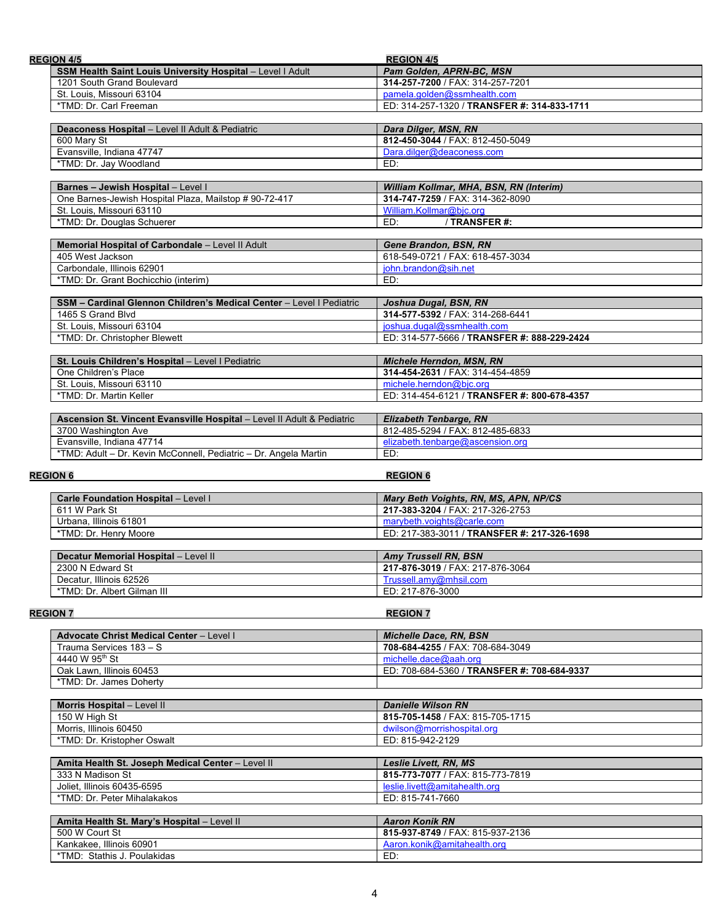| <b>REGION 4/5</b>                                                                                                | <b>REGION 4/5</b>                                                      |
|------------------------------------------------------------------------------------------------------------------|------------------------------------------------------------------------|
| SSM Health Saint Louis University Hospital - Level I Adult                                                       | Pam Golden, APRN-BC, MSN                                               |
| 1201 South Grand Boulevard                                                                                       | 314-257-7200 / FAX: 314-257-7201                                       |
| St. Louis, Missouri 63104                                                                                        | pamela.golden@ssmhealth.com                                            |
| *TMD: Dr. Carl Freeman                                                                                           | ED: 314-257-1320 / TRANSFER #: 314-833-1711                            |
|                                                                                                                  |                                                                        |
| Deaconess Hospital - Level II Adult & Pediatric                                                                  | Dara Dilger, MSN, RN                                                   |
| 600 Mary St                                                                                                      | 812-450-3044 / FAX: 812-450-5049                                       |
| Evansville, Indiana 47747                                                                                        | Dara.dilger@deaconess.com                                              |
| *TMD: Dr. Jay Woodland                                                                                           | ED:                                                                    |
| Barnes - Jewish Hospital - Level I                                                                               | William Kollmar, MHA, BSN, RN (Interim)                                |
| One Barnes-Jewish Hospital Plaza, Mailstop # 90-72-417                                                           | 314-747-7259 / FAX: 314-362-8090                                       |
| St. Louis, Missouri 63110                                                                                        | William.Kollmar@bjc.org                                                |
| *TMD: Dr. Douglas Schuerer                                                                                       | / TRANSFER #:<br>ED:                                                   |
|                                                                                                                  |                                                                        |
| Memorial Hospital of Carbondale - Level II Adult                                                                 | Gene Brandon, BSN, RN                                                  |
| 405 West Jackson                                                                                                 | 618-549-0721 / FAX: 618-457-3034                                       |
| Carbondale, Illinois 62901                                                                                       | john.brandon@sih.net                                                   |
| *TMD: Dr. Grant Bochicchio (interim)                                                                             | ED:                                                                    |
|                                                                                                                  |                                                                        |
| SSM - Cardinal Glennon Children's Medical Center - Level   Pediatric                                             | Joshua Dugal, BSN, RN                                                  |
| 1465 S Grand Blvd                                                                                                | 314-577-5392 / FAX: 314-268-6441                                       |
| St. Louis, Missouri 63104                                                                                        | joshua.dugal@ssmhealth.com                                             |
| *TMD: Dr. Christopher Blewett                                                                                    | ED: 314-577-5666 / TRANSFER #: 888-229-2424                            |
|                                                                                                                  |                                                                        |
| St. Louis Children's Hospital - Level I Pediatric                                                                | <b>Michele Herndon, MSN, RN</b>                                        |
| One Children's Place<br>St. Louis, Missouri 63110                                                                | 314-454-2631 / FAX: 314-454-4859                                       |
| *TMD: Dr. Martin Keller                                                                                          | michele.herndon@bjc.org<br>ED: 314-454-6121 / TRANSFER #: 800-678-4357 |
|                                                                                                                  |                                                                        |
| Ascension St. Vincent Evansville Hospital - Level II Adult & Pediatric                                           | <b>Elizabeth Tenbarge, RN</b>                                          |
|                                                                                                                  |                                                                        |
|                                                                                                                  |                                                                        |
| 3700 Washington Ave                                                                                              | 812-485-5294 / FAX: 812-485-6833                                       |
| Evansville, Indiana 47714<br>*TMD: Adult - Dr. Kevin McConnell, Pediatric - Dr. Angela Martin<br><b>REGION 6</b> | elizabeth.tenbarge@ascension.org<br>ED:<br><b>REGION 6</b>             |
| Carle Foundation Hospital - Level I                                                                              | Mary Beth Voights, RN, MS, APN, NP/CS                                  |
| 611 W Park St                                                                                                    | 217-383-3204 / FAX: 217-326-2753                                       |
| Urbana, Illinois 61801                                                                                           | marybeth.voights@carle.com                                             |
| *TMD: Dr. Henry Moore                                                                                            | ED: 217-383-3011 / TRANSFER #: 217-326-1698                            |
|                                                                                                                  |                                                                        |
| Decatur Memorial Hospital - Level II                                                                             | <b>Amy Trussell RN, BSN</b>                                            |
| 2300 N Edward St                                                                                                 | 217-876-3019 / FAX: 217-876-3064                                       |
| Decatur, Illinois 62526<br>*TMD: Dr. Albert Gilman III                                                           | Trussell.amy@mhsil.com<br>ED: 217-876-3000                             |
|                                                                                                                  |                                                                        |
| <b>REGION 7</b>                                                                                                  | <b>REGION 7</b>                                                        |
|                                                                                                                  |                                                                        |
| <b>Advocate Christ Medical Center - Level I</b>                                                                  | <b>Michelle Dace, RN, BSN</b>                                          |
| Trauma Services 183 - S                                                                                          | 708-684-4255 / FAX: 708-684-3049                                       |
| 4440 W 95 <sup>th</sup> St                                                                                       | michelle.dace@aah.org                                                  |
| Oak Lawn, Illinois 60453                                                                                         | ED: 708-684-5360 / TRANSFER #: 708-684-9337                            |
| *TMD: Dr. James Doherty                                                                                          |                                                                        |
|                                                                                                                  |                                                                        |
| Morris Hospital - Level II                                                                                       | <b>Danielle Wilson RN</b>                                              |
| 150 W High St                                                                                                    | 815-705-1458 / FAX: 815-705-1715                                       |
| Morris, Illinois 60450                                                                                           | dwilson@morrishospital.org                                             |
| *TMD: Dr. Kristopher Oswalt                                                                                      | ED: 815-942-2129                                                       |
|                                                                                                                  | <b>Leslie Livett, RN, MS</b>                                           |
| Amita Health St. Joseph Medical Center - Level II<br>333 N Madison St                                            | 815-773-7077 / FAX: 815-773-7819                                       |
| Joliet, Illinois 60435-6595                                                                                      | leslie.livett@amitahealth.org                                          |
| *TMD: Dr. Peter Mihalakakos                                                                                      | ED: 815-741-7660                                                       |
|                                                                                                                  |                                                                        |
| Amita Health St. Mary's Hospital - Level II                                                                      | <b>Aaron Konik RN</b>                                                  |
| 500 W Court St                                                                                                   | 815-937-8749 / FAX: 815-937-2136                                       |
| Kankakee, Illinois 60901<br>*TMD: Stathis J. Poulakidas                                                          | Aaron.konik@amitahealth.org<br>ED:                                     |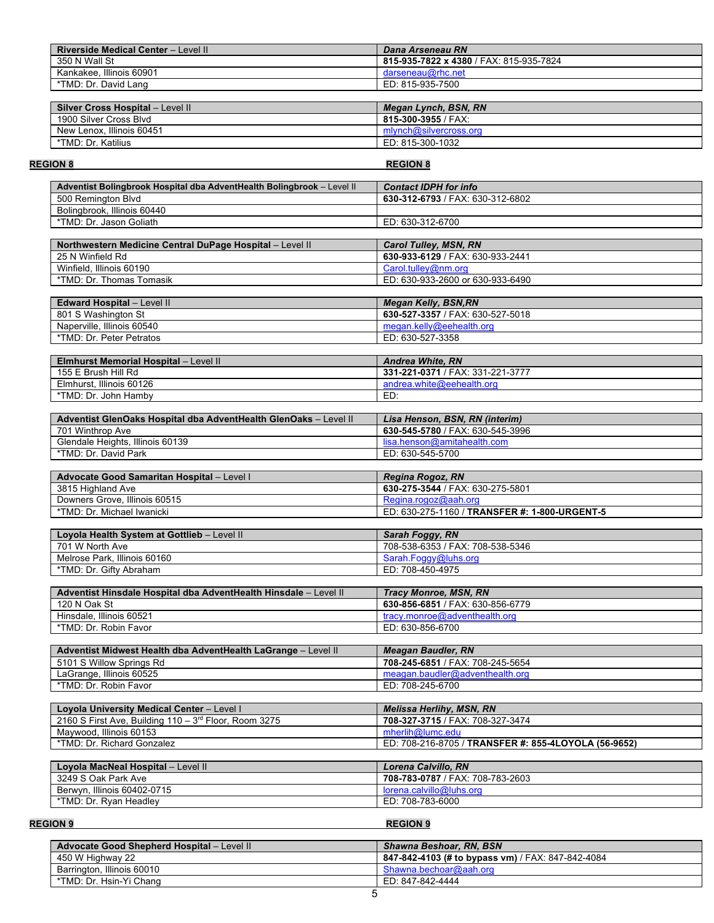| Riverside Medical Center - Level II                                    | Dana Arseneau RN                                           |
|------------------------------------------------------------------------|------------------------------------------------------------|
| 350 N Wall St                                                          | 815-935-7822 x 4380 / FAX: 815-935-7824                    |
| Kankakee, Illinois 60901                                               | darseneau@rhc.net                                          |
| *TMD: Dr. David Lang                                                   | ED: 815-935-7500                                           |
|                                                                        |                                                            |
| Silver Cross Hospital - Level II                                       | <b>Megan Lynch, BSN, RN</b>                                |
| 1900 Silver Cross Blvd                                                 | 815-300-3955 / FAX:                                        |
| New Lenox, Illinois 60451                                              | mlynch@silvercross.org                                     |
| *TMD: Dr. Katilius                                                     | ED: 815-300-1032                                           |
|                                                                        |                                                            |
| <b>REGION 8</b>                                                        | <b>REGION 8</b>                                            |
| Adventist Bolingbrook Hospital dba AdventHealth Bolingbrook - Level II | <b>Contact IDPH for info</b>                               |
| 500 Remington Blvd                                                     | 630-312-6793 / FAX: 630-312-6802                           |
| Bolingbrook, Illinois 60440                                            |                                                            |
| *TMD: Dr. Jason Goliath                                                | ED: 630-312-6700                                           |
|                                                                        |                                                            |
| Northwestern Medicine Central DuPage Hospital - Level II               | <b>Carol Tulley, MSN, RN</b>                               |
| 25 N Winfield Rd                                                       | 630-933-6129 / FAX: 630-933-2441                           |
| Winfield, Illinois 60190                                               | Carol.tullev@nm.org                                        |
| *TMD: Dr. Thomas Tomasik                                               | ED: 630-933-2600 or 630-933-6490                           |
|                                                                        |                                                            |
| Edward Hospital - Level II                                             | <b>Megan Kelly, BSN, RN</b>                                |
| 801 S Washington St                                                    | 630-527-3357 / FAX: 630-527-5018                           |
| Naperville, Illinois 60540                                             | megan.kelly@eehealth.org                                   |
| *TMD: Dr. Peter Petratos                                               | ED: 630-527-3358                                           |
|                                                                        |                                                            |
| Elmhurst Memorial Hospital - Level II<br>155 E Brush Hill Rd           | Andrea White, RN                                           |
|                                                                        | 331-221-0371 / FAX: 331-221-3777                           |
| Elmhurst, Illinois 60126<br>*TMD: Dr. John Hamby                       | andrea.white@eehealth.org<br>ED:                           |
|                                                                        |                                                            |
| Adventist GlenOaks Hospital dba AdventHealth GlenOaks - Level II       | Lisa Henson, BSN, RN (interim)                             |
| 701 Winthrop Ave                                                       | 630-545-5780 / FAX: 630-545-3996                           |
| Glendale Heights, Illinois 60139                                       | lisa.henson@amitahealth.com                                |
| *TMD: Dr. David Park                                                   | ED: 630-545-5700                                           |
|                                                                        |                                                            |
| Advocate Good Samaritan Hospital - Level I                             | <b>Regina Rogoz, RN</b>                                    |
| 3815 Highland Ave                                                      | 630-275-3544 / FAX: 630-275-5801                           |
| Downers Grove, Illinois 60515                                          | Regina.rogoz@aah.org                                       |
| *TMD: Dr. Michael Iwanicki                                             | ED: 630-275-1160 / TRANSFER #: 1-800-URGENT-5              |
|                                                                        |                                                            |
| Loyola Health System at Gottlieb - Level II<br>701 W North Ave         | <b>Sarah Foggy, RN</b><br>708-538-6353 / FAX: 708-538-5346 |
| Melrose Park, Illinois 60160                                           | Sarah.Foggy@luhs.org                                       |
| *TMD: Dr. Gifty Abraham                                                | ED: 708-450-4975                                           |
|                                                                        |                                                            |
| Adventist Hinsdale Hospital dba AdventHealth Hinsdale - Level II       | <b>Tracy Monroe, MSN, RN</b>                               |
| 120 N Oak St                                                           | 630-856-6851 / FAX: 630-856-6779                           |
| Hinsdale, Illinois 60521                                               | tracy.monroe@adventhealth.org                              |
| *TMD: Dr. Robin Favor                                                  | ED: 630-856-6700                                           |
|                                                                        |                                                            |
| Adventist Midwest Health dba AdventHealth LaGrange - Level II          | <b>Meagan Baudler, RN</b>                                  |
| 5101 S Willow Springs Rd                                               | 708-245-6851 / FAX: 708-245-5654                           |
| LaGrange, Illinois 60525                                               | meagan.baudler@adventhealth.org                            |
| *TMD: Dr. Robin Favor                                                  | ED: 708-245-6700                                           |
|                                                                        |                                                            |
| Loyola University Medical Center - Level I                             | <b>Melissa Herlihy, MSN, RN</b>                            |
| 2160 S First Ave, Building 110 - 3rd Floor, Room 3275                  | 708-327-3715 / FAX: 708-327-3474                           |
| Maywood, Illinois 60153                                                | mherlih@lumc.edu                                           |
| *TMD: Dr. Richard Gonzalez                                             | ED: 708-216-8705 / TRANSFER #: 855-4LOYOLA (56-9652)       |
|                                                                        |                                                            |
| Loyola MacNeal Hospital - Level II                                     | <b>Lorena Calvillo, RN</b>                                 |
| 3249 S Oak Park Ave                                                    | 708-783-0787 / FAX: 708-783-2603                           |
| Berwyn, Illinois 60402-0715                                            | lorena.calvillo@luhs.org                                   |
| *TMD: Dr. Ryan Headley                                                 | ED: 708-783-6000                                           |
|                                                                        | <b>REGION 9</b>                                            |
| <b>REGION 9</b>                                                        |                                                            |

| <b>Advocate Good Shepherd Hospital - Level II</b> | <b>Shawna Beshoar, RN, BSN</b>                    |
|---------------------------------------------------|---------------------------------------------------|
| 450 W Highway 22                                  | 847-842-4103 (# to bypass vm) / FAX: 847-842-4084 |
| Barrington, Illinois 60010                        | Shawna.bechoar@aah.org                            |
| *TMD: Dr. Hsin-Yi Chang                           | ED: 847-842-4444                                  |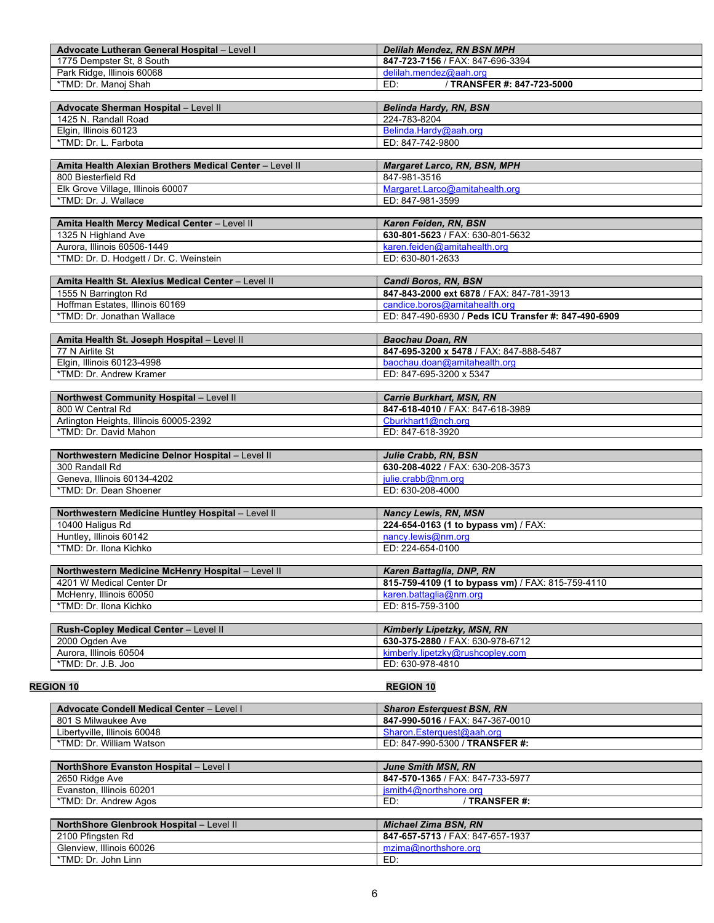| Advocate Lutheran General Hospital - Level I                    | Delilah Mendez, RN BSN MPH                           |
|-----------------------------------------------------------------|------------------------------------------------------|
| 1775 Dempster St. 8 South                                       | 847-723-7156 / FAX: 847-696-3394                     |
| Park Ridge, Illinois 60068                                      | delilah.mendez@aah.org                               |
| *TMD: Dr. Manoj Shah                                            | / TRANSFER #: 847-723-5000<br>ED:                    |
|                                                                 |                                                      |
| Advocate Sherman Hospital - Level II                            | <b>Belinda Hardy, RN, BSN</b>                        |
| 1425 N. Randall Road                                            | 224-783-8204                                         |
| Elgin, Illinois 60123                                           | Belinda.Hardy@aah.org                                |
| *TMD: Dr. L. Farbota                                            | ED: 847-742-9800                                     |
|                                                                 |                                                      |
| Amita Health Alexian Brothers Medical Center - Level II         | Margaret Larco, RN, BSN, MPH                         |
| 800 Biesterfield Rd                                             | 847-981-3516                                         |
| Elk Grove Village, Illinois 60007                               | Margaret.Larco@amitahealth.org                       |
| *TMD: Dr. J. Wallace                                            | ED: 847-981-3599                                     |
|                                                                 |                                                      |
| Amita Health Mercy Medical Center - Level II                    | Karen Feiden, RN, BSN                                |
| 1325 N Highland Ave                                             | 630-801-5623 / FAX: 630-801-5632                     |
| Aurora, Illinois 60506-1449                                     | karen.feiden@amitahealth.org                         |
| *TMD: Dr. D. Hodgett / Dr. C. Weinstein                         | ED: 630-801-2633                                     |
|                                                                 |                                                      |
| Amita Health St. Alexius Medical Center - Level II              | Candi Boros, RN, BSN                                 |
| 1555 N Barrington Rd                                            | 847-843-2000 ext 6878 / FAX: 847-781-3913            |
| Hoffman Estates, Illinois 60169                                 | candice.boros@amitahealth.org                        |
| *TMD: Dr. Jonathan Wallace                                      | ED: 847-490-6930 / Peds ICU Transfer #: 847-490-6909 |
|                                                                 |                                                      |
| Amita Health St. Joseph Hospital - Level II                     | <b>Baochau Doan, RN</b>                              |
| 77 N Airlite St                                                 | 847-695-3200 x 5478 / FAX: 847-888-5487              |
| Elgin, Illinois 60123-4998                                      | baochau.doan@amitahealth.org                         |
| *TMD: Dr. Andrew Kramer                                         | ED: 847-695-3200 x 5347                              |
|                                                                 |                                                      |
| Northwest Community Hospital - Level II<br>800 W Central Rd     | <b>Carrie Burkhart, MSN, RN</b>                      |
|                                                                 | 847-618-4010 / FAX: 847-618-3989                     |
| Arlington Heights, Illinois 60005-2392<br>*TMD: Dr. David Mahon | Cburkhart1@nch.org<br>ED: 847-618-3920               |
|                                                                 |                                                      |
| Northwestern Medicine Delnor Hospital - Level II                | Julie Crabb, RN, BSN                                 |
| 300 Randall Rd                                                  | 630-208-4022 / FAX: 630-208-3573                     |
| Geneva, Illinois 60134-4202                                     | julie.crabb@nm.org                                   |
| *TMD: Dr. Dean Shoener                                          | ED: 630-208-4000                                     |
|                                                                 |                                                      |
| Northwestern Medicine Huntley Hospital - Level II               | <b>Nancy Lewis, RN, MSN</b>                          |
| 10400 Haligus Rd                                                | 224-654-0163 (1 to bypass vm) / FAX:                 |
| Huntley, Illinois 60142                                         | nancy.lewis@nm.org                                   |
| *TMD: Dr. Ilona Kichko                                          | ED: 224-654-0100                                     |
|                                                                 |                                                      |
| Northwestern Medicine McHenry Hospital - Level II               | Karen Battaglia, DNP, RN                             |
| 4201 W Medical Center Dr                                        | 815-759-4109 (1 to bypass vm) / FAX: 815-759-4110    |
| McHenry, Illinois 60050                                         | karen.battaglia@nm.org                               |
| *TMD: Dr. Ilona Kichko                                          | ED: 815-759-3100                                     |
|                                                                 |                                                      |
| Rush-Copley Medical Center - Level II                           | Kimberly Lipetzky, MSN, RN                           |
| 2000 Ogden Ave                                                  | 630-375-2880 / FAX: 630-978-6712                     |
| Aurora, Illinois 60504                                          | kimberly.lipetzky@rushcopley.com                     |
| *TMD: Dr. J.B. Joo                                              | ED: 630-978-4810                                     |
|                                                                 |                                                      |
| <b>REGION 10</b>                                                | <b>REGION 10</b>                                     |
| <b>Advocate Condell Medical Center - Level I</b>                | <b>Sharon Esterquest BSN, RN</b>                     |
| 801 S Milwaukee Ave                                             | 847-990-5016 / FAX: 847-367-0010                     |
| Libertyville, Illinois 60048                                    | Sharon.Esterquest@aah.org                            |
| *TMD: Dr. William Watson                                        | ED: 847-990-5300 / TRANSFER #:                       |
|                                                                 |                                                      |
| NorthShore Evanston Hospital - Level I                          | <b>June Smith MSN, RN</b>                            |
| 2650 Ridge Ave                                                  | 847-570-1365 / FAX: 847-733-5977                     |
| Evanston, Illinois 60201                                        | jsmith4@northshore.org                               |
| *TMD: Dr. Andrew Agos                                           | / TRANSFER #:<br>ED:                                 |
|                                                                 |                                                      |
| NorthShore Glenbrook Hospital - Level II                        | <b>Michael Zima BSN, RN</b>                          |
| 2100 Pfingsten Rd                                               | 847-657-5713 / FAX: 847-657-1937                     |
| Glenview, Illinois 60026                                        | mzima@northshore.org                                 |
| *TMD: Dr. John Linn                                             | ED:                                                  |
|                                                                 |                                                      |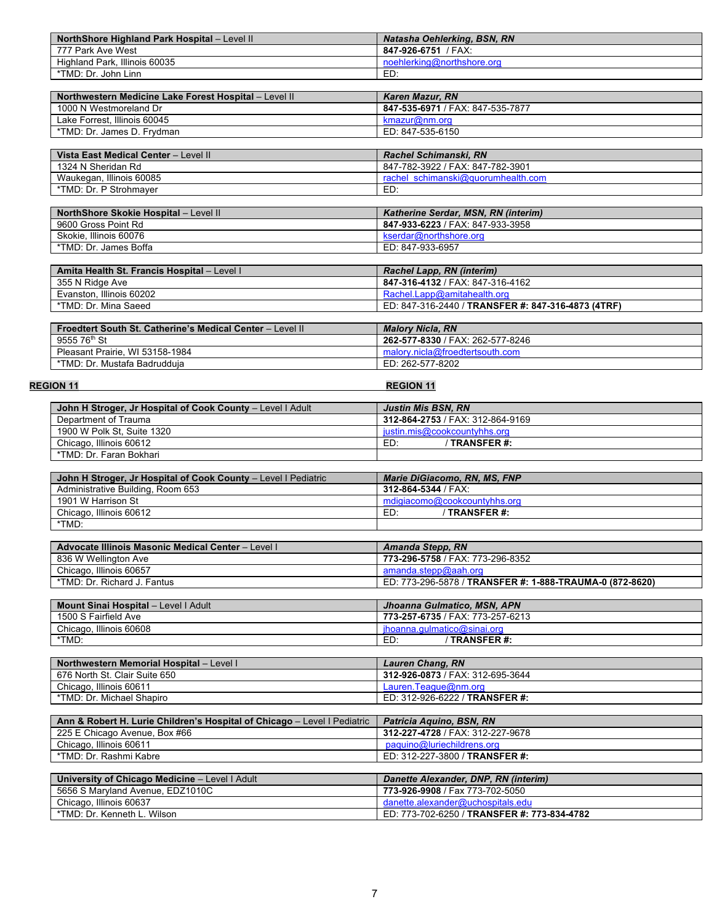| NorthShore Highland Park Hospital - Level II | Natasha Oehlerking, BSN, RN |
|----------------------------------------------|-----------------------------|
| 777 Park Ave West                            | 847-926-6751 / FAX:         |
| Highland Park, Illinois 60035                | noehlerking@northshore.org  |
| *TMD: Dr. John Linn                          | ED:                         |

| Northwestern Medicine Lake Forest Hospital - Level II | Karen Mazur, RN                  |
|-------------------------------------------------------|----------------------------------|
| 1000 N Westmoreland Dr                                | 847-535-6971 / FAX: 847-535-7877 |
| Lake Forrest. Illinois 60045                          | kmazur@nm.ord                    |
| *TMD: Dr. James D. Frydman                            | ED: 847-535-6150                 |

| Vista East Medical Center - Level II | Rachel Schimanski, RN              |
|--------------------------------------|------------------------------------|
| 1324 N Sheridan Rd                   | 847-782-3922 / FAX: 847-782-3901   |
| Waukegan, Illinois 60085             | rachel schimanski@guorumhealth.com |
| *TMD: Dr. P Strohmaver               | ED:                                |

| <b>NorthShore Skokie Hospital - Level II</b> | <b>Katherine Serdar, MSN, RN (interim)</b> |
|----------------------------------------------|--------------------------------------------|
| 9600 Gross Point Rd                          | 847-933-6223 / FAX: 847-933-3958           |
| Skokie, Illinois 60076                       | kserdar@northshore.org                     |
| *TMD: Dr. James Boffa                        | ED: 847-933-6957                           |

| Amita Health St. Francis Hospital - Level I               | Rachel Lapp, RN (interim)                          |
|-----------------------------------------------------------|----------------------------------------------------|
| 355 N Ridge Ave                                           | 847-316-4132 / FAX: 847-316-4162                   |
| Evanston, Illinois 60202                                  | Rachel.Lapp@amitahealth.org                        |
| *TMD: Dr. Mina Saeed                                      | ED: 847-316-2440 / TRANSFER #: 847-316-4873 (4TRF) |
|                                                           |                                                    |
| Froedtert South St. Catherine's Medical Center - Level II | <b>Malory Nicla, RN</b>                            |
| 9555 76 <sup>th</sup> St                                  | 262-577-8330 / FAX: 262-577-8246                   |
| Pleasant Prairie, WI 53158-1984                           | malory.nicla@froedtertsouth.com                    |
| *TMD: Dr. Mustafa Badrudduia                              | ED: 262-577-8202                                   |

| *TMD: Dr. Mustafa Badrudduja                               | ED: 262-577-8202                 |  |
|------------------------------------------------------------|----------------------------------|--|
|                                                            |                                  |  |
| <b>REGION 11</b>                                           | <b>REGION 11</b>                 |  |
|                                                            |                                  |  |
| John H Stroger, Jr Hospital of Cook County - Level I Adult | <b>Justin Mis BSN, RN</b>        |  |
| Department of Trauma                                       | 312-864-2753 / FAX: 312-864-9169 |  |
| 1900 W Polk St, Suite 1320                                 | justin.mis@cookcountyhhs.org     |  |

Chicago, Illinois 60612 ED: / **TRANSFER #:**

\*TMD:

| *TMD: Dr. Faran Bokhari                                        |                              |
|----------------------------------------------------------------|------------------------------|
|                                                                |                              |
| John H Stroger, Jr Hospital of Cook County - Level I Pediatric | Marie DiGiacomo, RN, MS, FNP |
| Administrative Building, Room 653                              | 312-864-5344 / FAX:          |
| 1901 W Harrison St                                             | mdigiacomo@cookcountyhhs.org |
| Chicago, Illinois 60612                                        | ED:<br>TRANSFER #:           |

| <b>Advocate Illinois Masonic Medical Center - Level I</b> | Amanda Stepp, RN                                         |
|-----------------------------------------------------------|----------------------------------------------------------|
| 836 W Wellington Ave                                      | 773-296-5758 / FAX: 773-296-8352                         |
| Chicago, Illinois 60657                                   | amanda.stepp@aah.org                                     |
| *TMD: Dr. Richard J. Fantus                               | ED: 773-296-5878 / TRANSFER #: 1-888-TRAUMA-0 (872-8620) |

| <b>Mount Sinai Hospital - Level I Adult</b> | Jhoanna Gulmatico, MSN, APN      |
|---------------------------------------------|----------------------------------|
| 1500 S Fairfield Ave                        | 773-257-6735 / FAX: 773-257-6213 |
| Chicago, Illinois 60608                     | jhoanna.qulmatico@sinai.org      |
| *TMD:                                       | ' TRANSFER #:                    |

| <b>Northwestern Memorial Hospital - Level I</b> | <b>Lauren Chang, RN</b>          |
|-------------------------------------------------|----------------------------------|
| 676 North St. Clair Suite 650                   | 312-926-0873 / FAX: 312-695-3644 |
| Chicago, Illinois 60611                         | Lauren.Teague@nm.org             |
| *TMD: Dr. Michael Shapiro                       | ED: 312-926-6222 / TRANSFER #:   |

| Ann & Robert H. Lurie Children's Hospital of Chicago - Level I Pediatric | Patricia Aguino, BSN, RN             |
|--------------------------------------------------------------------------|--------------------------------------|
| 225 E Chicago Avenue, Box #66                                            | 312-227-4728 / FAX: 312-227-9678     |
| Chicago, Illinois 60611                                                  | paguino@luriechildrens.org           |
| *TMD: Dr. Rashmi Kabre                                                   | ED: 312-227-3800 / TRANSFER #:       |
|                                                                          |                                      |
| University of Chicago Medicine - Level I Adult                           | Danette Alexander, DNP, RN (interim) |
| 5656 S Maryland Avenue, EDZ1010C                                         | 773-926-9908 / Fax 773-702-5050      |